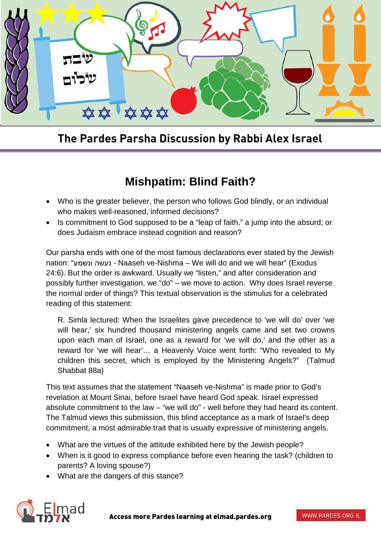

**The Pardes Parsha Discussion by Rabbi Alex Israel**

## **Mishpatim: Blind Faith?**

- Who is the greater believer, the person who follows God blindly, or an individual who makes well-reasoned, informed decisions?
- Is commitment to God supposed to be a "leap of faith," a jump into the absurd; or does Judaism embrace instead cognition and reason?

Our parsha ends with one of the most famous declarations ever stated by the Jewish nation: "ונשמע נעשה - Naaseh ve-Nishma – We will do and we will hear" (Exodus 24:6). But the order is awkward. Usually we "listen," and after consideration and possibly further investigation, we "do" – we move to action. Why does Israel reverse the normal order of things? This textual observation is the stimulus for a celebrated reading of this statement:

R. Simla lectured: When the Israelites gave precedence to 'we will do' over 'we will hear,' six hundred thousand ministering angels came and set two crowns upon each man of Israel, one as a reward for 'we will do,' and the other as a reward for 'we will hear'… a Heavenly Voice went forth: "Who revealed to My children this secret, which is employed by the Ministering Angels?" (Talmud Shabbat 88a)

This text assumes that the statement "Naaseh ve-Nishma" is made prior to God's revelation at Mount Sinai, before Israel have heard God speak. Israel expressed absolute commitment to the law – "we will do" - well before they had heard its content. The Talmud views this submission, this blind acceptance as a mark of Israel's deep commitment, a most admirable trait that is usually expressive of ministering angels.

- What are the virtues of the attitude exhibited here by the Jewish people?
- When is it good to express compliance before even hearing the task? (children to parents? A loving spouse?)
- What are the dangers of this stance?

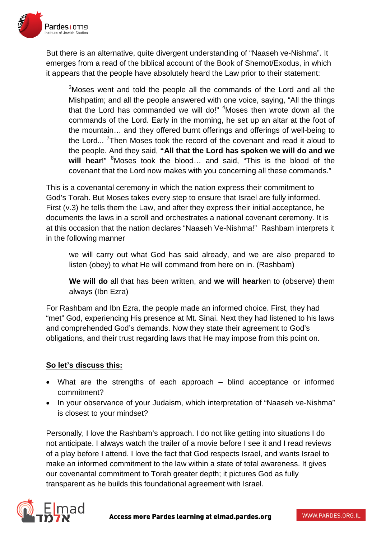

But there is an alternative, quite divergent understanding of "Naaseh ve-Nishma". It emerges from a read of the biblical account of the Book of Shemot/Exodus, in which it appears that the people have absolutely heard the Law prior to their statement:

 $3$ Moses went and told the people all the commands of the Lord and all the Mishpatim; and all the people answered with one voice, saying, "All the things that the Lord has commanded we will do!" <sup>4</sup>Moses then wrote down all the commands of the Lord. Early in the morning, he set up an altar at the foot of the mountain… and they offered burnt offerings and offerings of well-being to the Lord...<sup>7</sup> Then Moses took the record of the covenant and read it aloud to the people. And they said, **"All that the Lord has spoken we will do and we**  will hear!" <sup>8</sup>Moses took the blood... and said, "This is the blood of the covenant that the Lord now makes with you concerning all these commands."

This is a covenantal ceremony in which the nation express their commitment to God's Torah. But Moses takes every step to ensure that Israel are fully informed. First (v.3) he tells them the Law, and after they express their initial acceptance, he documents the laws in a scroll and orchestrates a national covenant ceremony. It is at this occasion that the nation declares "Naaseh Ve-Nishma!" Rashbam interprets it in the following manner

we will carry out what God has said already, and we are also prepared to listen (obey) to what He will command from here on in. (Rashbam)

**We will do** all that has been written, and **we will hear**ken to (observe) them always (Ibn Ezra)

For Rashbam and Ibn Ezra, the people made an informed choice. First, they had "met" God, experiencing His presence at Mt. Sinai. Next they had listened to his laws and comprehended God's demands. Now they state their agreement to God's obligations, and their trust regarding laws that He may impose from this point on.

## **So let's discuss this:**

- What are the strengths of each approach blind acceptance or informed commitment?
- In your observance of your Judaism, which interpretation of "Naaseh ve-Nishma" is closest to your mindset?

Personally, I love the Rashbam's approach. I do not like getting into situations I do not anticipate. I always watch the trailer of a movie before I see it and I read reviews of a play before I attend. I love the fact that God respects Israel, and wants Israel to make an informed commitment to the law within a state of total awareness. It gives our covenantal commitment to Torah greater depth; it pictures God as fully transparent as he builds this foundational agreement with Israel.